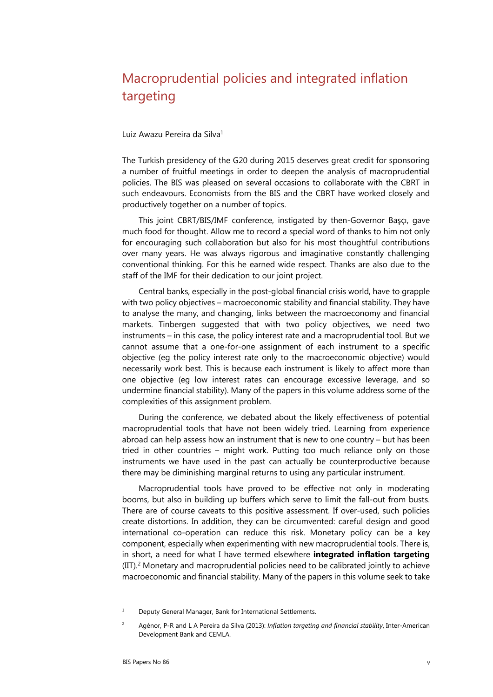## Macroprudential policies and integrated inflation targeting

## Luiz Awazu Pereira da Silva<sup>1</sup>

The Turkish presidency of the G20 during 2015 deserves great credit for sponsoring a number of fruitful meetings in order to deepen the analysis of macroprudential policies. The BIS was pleased on several occasions to collaborate with the CBRT in such endeavours. Economists from the BIS and the CBRT have worked closely and productively together on a number of topics.

This joint CBRT/BIS/IMF conference, instigated by then-Governor Başçı, gave much food for thought. Allow me to record a special word of thanks to him not only for encouraging such collaboration but also for his most thoughtful contributions over many years. He was always rigorous and imaginative constantly challenging conventional thinking. For this he earned wide respect. Thanks are also due to the staff of the IMF for their dedication to our joint project.

Central banks, especially in the post-global financial crisis world, have to grapple with two policy objectives – macroeconomic stability and financial stability. They have to analyse the many, and changing, links between the macroeconomy and financial markets. Tinbergen suggested that with two policy objectives, we need two instruments – in this case, the policy interest rate and a macroprudential tool. But we cannot assume that a one-for-one assignment of each instrument to a specific objective (eg the policy interest rate only to the macroeconomic objective) would necessarily work best. This is because each instrument is likely to affect more than one objective (eg low interest rates can encourage excessive leverage, and so undermine financial stability). Many of the papers in this volume address some of the complexities of this assignment problem.

During the conference, we debated about the likely effectiveness of potential macroprudential tools that have not been widely tried. Learning from experience abroad can help assess how an instrument that is new to one country – but has been tried in other countries – might work. Putting too much reliance only on those instruments we have used in the past can actually be counterproductive because there may be diminishing marginal returns to using any particular instrument.

Macroprudential tools have proved to be effective not only in moderating booms, but also in building up buffers which serve to limit the fall-out from busts. There are of course caveats to this positive assessment. If over-used, such policies create distortions. In addition, they can be circumvented: careful design and good international co-operation can reduce this risk. Monetary policy can be a key component, especially when experimenting with new macroprudential tools. There is, in short, a need for what I have termed elsewhere **integrated inflation targeting**  (IIT).2 Monetary and macroprudential policies need to be calibrated jointly to achieve macroeconomic and financial stability. Many of the papers in this volume seek to take

<sup>1</sup> Deputy General Manager, Bank for International Settlements.

 $\overline{2}$  Agénor, P-R and L A Pereira da Silva (2013): *Inflation targeting and financial stability*, Inter-American Development Bank and CEMLA.